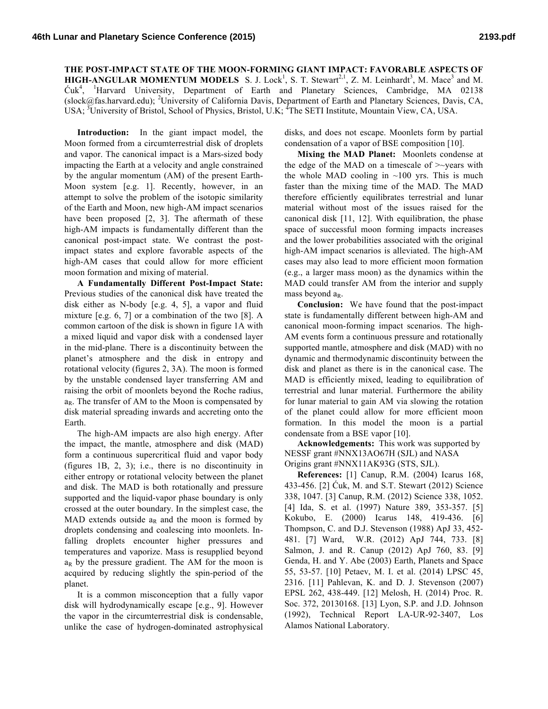## **THE POST-IMPACT STATE OF THE MOON-FORMING GIANT IMPACT: FAVORABLE ASPECTS OF HIGH-ANGULAR MOMENTUM MODELS** S. J. Lock<sup>1</sup>, S. T. Stewart<sup>2,1</sup>, Z. M. Leinhardt<sup>3</sup>, M. Mace<sup>3</sup> and M. Ćuk<sup>4</sup> , <sup>1</sup> Harvard University, Department of Earth and Planetary Sciences, Cambridge, MA 02138 (slock@fas.harvard.edu); <sup>2</sup>University of California Davis, Department of Earth and Planetary Sciences, Davis, CA, USA; <sup>3</sup>University of Bristol, School of Physics, Bristol, U.K; <sup>4</sup>The SETI Institute, Mountain View, CA, USA.

**Introduction:** In the giant impact model, the Moon formed from a circumterrestrial disk of droplets and vapor. The canonical impact is a Mars-sized body impacting the Earth at a velocity and angle constrained by the angular momentum (AM) of the present Earth-Moon system [e.g. 1]. Recently, however, in an attempt to solve the problem of the isotopic similarity of the Earth and Moon, new high-AM impact scenarios have been proposed [2, 3]. The aftermath of these high-AM impacts is fundamentally different than the canonical post-impact state. We contrast the postimpact states and explore favorable aspects of the high-AM cases that could allow for more efficient moon formation and mixing of material.

**A Fundamentally Different Post-Impact State:** Previous studies of the canonical disk have treated the disk either as N-body [e.g. 4, 5], a vapor and fluid mixture [e.g. 6, 7] or a combination of the two [8]. A common cartoon of the disk is shown in figure 1A with a mixed liquid and vapor disk with a condensed layer in the mid-plane. There is a discontinuity between the planet's atmosphere and the disk in entropy and rotational velocity (figures 2, 3A). The moon is formed by the unstable condensed layer transferring AM and raising the orbit of moonlets beyond the Roche radius,  $a_R$ . The transfer of AM to the Moon is compensated by disk material spreading inwards and accreting onto the Earth.

The high-AM impacts are also high energy. After the impact, the mantle, atmosphere and disk (MAD) form a continuous supercritical fluid and vapor body (figures 1B, 2, 3); i.e., there is no discontinuity in either entropy or rotational velocity between the planet and disk. The MAD is both rotationally and pressure supported and the liquid-vapor phase boundary is only crossed at the outer boundary. In the simplest case, the MAD extends outside  $a_R$  and the moon is formed by droplets condensing and coalescing into moonlets. Infalling droplets encounter higher pressures and temperatures and vaporize. Mass is resupplied beyond  $a_R$  by the pressure gradient. The AM for the moon is acquired by reducing slightly the spin-period of the planet.

It is a common misconception that a fully vapor disk will hydrodynamically escape [e.g., 9]. However the vapor in the circumterrestrial disk is condensable, unlike the case of hydrogen-dominated astrophysical disks, and does not escape. Moonlets form by partial condensation of a vapor of BSE composition [10].

**Mixing the MAD Planet:** Moonlets condense at the edge of the MAD on a timescale of  $\ge$  vears with the whole MAD cooling in  $~100$  yrs. This is much faster than the mixing time of the MAD. The MAD therefore efficiently equilibrates terrestrial and lunar material without most of the issues raised for the canonical disk [11, 12]. With equilibration, the phase space of successful moon forming impacts increases and the lower probabilities associated with the original high-AM impact scenarios is alleviated. The high-AM cases may also lead to more efficient moon formation (e.g., a larger mass moon) as the dynamics within the MAD could transfer AM from the interior and supply mass beyond  $a_R$ .

**Conclusion:** We have found that the post-impact state is fundamentally different between high-AM and canonical moon-forming impact scenarios. The high-AM events form a continuous pressure and rotationally supported mantle, atmosphere and disk (MAD) with no dynamic and thermodynamic discontinuity between the disk and planet as there is in the canonical case. The MAD is efficiently mixed, leading to equilibration of terrestrial and lunar material. Furthermore the ability for lunar material to gain AM via slowing the rotation of the planet could allow for more efficient moon formation. In this model the moon is a partial condensate from a BSE vapor [10].

**Acknowledgements:** This work was supported by NESSF grant #NNX13AO67H (SJL) and NASA Origins grant #NNX11AK93G (STS, SJL).

**References:** [1] Canup, R.M. (2004) Icarus 168, 433-456. [2] Ćuk, M. and S.T. Stewart (2012) Science 338, 1047. [3] Canup, R.M. (2012) Science 338, 1052. [4] Ida, S. et al. (1997) Nature 389, 353-357. [5] Kokubo, E. (2000) Icarus 148, 419-436. [6] Thompson, C. and D.J. Stevenson (1988) ApJ 33, 452- 481. [7] Ward, W.R. (2012) ApJ 744, 733. [8] Salmon, J. and R. Canup (2012) ApJ 760, 83. [9] Genda, H. and Y. Abe (2003) Earth, Planets and Space 55, 53-57. [10] Petaev, M. I. et al. (2014) LPSC 45, 2316. [11] Pahlevan, K. and D. J. Stevenson (2007) EPSL 262, 438-449. [12] Melosh, H. (2014) Proc. R. Soc. 372, 20130168. [13] Lyon, S.P. and J.D. Johnson (1992), Technical Report LA-UR-92-3407, Los Alamos National Laboratory.